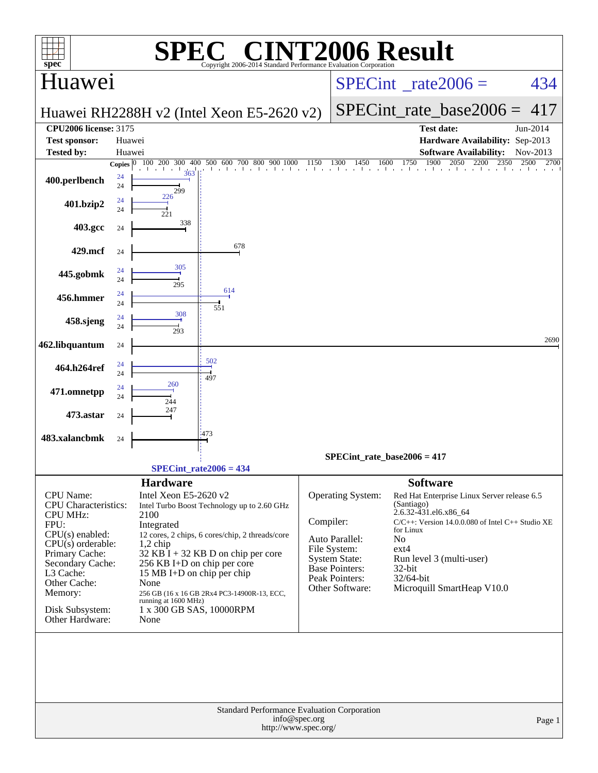| spec <sup>®</sup>                              |                          |                                    | $\left[\begin{array}{cc} \text{V}(\mathbb{R}) & \text{V} \end{array}\right]$<br>М,<br>Copyright 2006-2014 Standard Performance Evaluation Corporation |           |                                | <b>INT2006 Result</b>                                                                          |                  |  |  |
|------------------------------------------------|--------------------------|------------------------------------|-------------------------------------------------------------------------------------------------------------------------------------------------------|-----------|--------------------------------|------------------------------------------------------------------------------------------------|------------------|--|--|
| Huawei                                         |                          |                                    |                                                                                                                                                       |           |                                | $SPECint^{\circ}$ rate $2006 =$                                                                | 434              |  |  |
|                                                |                          |                                    | Huawei RH2288H v2 (Intel Xeon E5-2620 v2)                                                                                                             |           | $SPECint$ rate base2006 =      | 417                                                                                            |                  |  |  |
| <b>CPU2006 license: 3175</b>                   |                          |                                    |                                                                                                                                                       |           |                                | <b>Test date:</b>                                                                              | Jun-2014         |  |  |
| <b>Test sponsor:</b>                           | Huawei                   |                                    |                                                                                                                                                       |           |                                | Hardware Availability: Sep-2013                                                                |                  |  |  |
| <b>Tested by:</b>                              | Huawei                   |                                    |                                                                                                                                                       |           |                                | <b>Software Availability:</b>                                                                  | Nov-2013<br>2700 |  |  |
| 400.perlbench                                  | Copies $ 0 $<br>24<br>24 | $\frac{1}{363}$                    |                                                                                                                                                       |           |                                | 100 200 300 400 500 600 700 800 900 1000 1150 1300 1450 1600 1750 1900 2050 2200 2350 2500 270 |                  |  |  |
| 401.bzip2                                      | 24<br>24                 | 299<br>226<br>221                  |                                                                                                                                                       |           |                                |                                                                                                |                  |  |  |
| 403.gcc                                        | 24                       | 338                                |                                                                                                                                                       |           |                                |                                                                                                |                  |  |  |
| 429.mcf                                        | 24                       |                                    | 678                                                                                                                                                   |           |                                |                                                                                                |                  |  |  |
| 445.gobmk                                      | 24<br>24                 | 305<br>295                         |                                                                                                                                                       |           |                                |                                                                                                |                  |  |  |
| 456.hmmer                                      | 24<br>24                 |                                    | 614<br>551                                                                                                                                            |           |                                |                                                                                                |                  |  |  |
| 458.sjeng                                      | 24<br>24                 | 308<br>293                         |                                                                                                                                                       |           |                                |                                                                                                |                  |  |  |
| 462.libquantum                                 | 24                       |                                    |                                                                                                                                                       |           |                                |                                                                                                | 2690             |  |  |
| 464.h264ref                                    | 24<br>24                 |                                    | 502<br>497                                                                                                                                            |           |                                |                                                                                                |                  |  |  |
| 471.omnetpp                                    | 24<br>24                 | 260<br>244                         |                                                                                                                                                       |           |                                |                                                                                                |                  |  |  |
| 473.astar                                      | 24                       | 247                                |                                                                                                                                                       |           |                                |                                                                                                |                  |  |  |
| 483.xalancbmk                                  | 24                       |                                    | 473                                                                                                                                                   |           |                                |                                                                                                |                  |  |  |
|                                                |                          |                                    | $SPECint_rate2006 = 434$                                                                                                                              |           | SPECint rate base $2006 = 417$ |                                                                                                |                  |  |  |
|                                                |                          | <b>Hardware</b>                    |                                                                                                                                                       |           |                                | <b>Software</b>                                                                                |                  |  |  |
| <b>CPU</b> Name:                               |                          | Intel Xeon E5-2620 v2              |                                                                                                                                                       |           | Operating System:              | Red Hat Enterprise Linux Server release 6.5                                                    |                  |  |  |
| <b>CPU</b> Characteristics:<br><b>CPU MHz:</b> |                          | 2100                               | Intel Turbo Boost Technology up to 2.60 GHz                                                                                                           |           |                                | (Santiago)<br>2.6.32-431.el6.x86_64                                                            |                  |  |  |
| FPU:                                           |                          | Integrated                         |                                                                                                                                                       | Compiler: |                                | $C/C++$ : Version 14.0.0.080 of Intel $C++$ Studio XE<br>for Linux                             |                  |  |  |
| $CPU(s)$ enabled:<br>$CPU(s)$ orderable:       |                          | $1,2$ chip                         | 12 cores, 2 chips, 6 cores/chip, 2 threads/core                                                                                                       |           | Auto Parallel:                 | N <sub>o</sub>                                                                                 |                  |  |  |
| Primary Cache:                                 |                          |                                    | $32$ KB $\hat{I}$ + 32 KB D on chip per core                                                                                                          |           | File System:<br>System State:  | ext4<br>Run level 3 (multi-user)                                                               |                  |  |  |
| Secondary Cache:<br>L3 Cache:                  |                          | 256 KB I+D on chip per core        |                                                                                                                                                       |           | <b>Base Pointers:</b>          | 32-bit                                                                                         |                  |  |  |
| Other Cache:                                   |                          | 15 MB I+D on chip per chip<br>None |                                                                                                                                                       |           | Peak Pointers:                 | $32/64$ -bit                                                                                   |                  |  |  |
| Memory:                                        |                          | running at 1600 MHz)               | 256 GB (16 x 16 GB 2Rx4 PC3-14900R-13, ECC,                                                                                                           |           | Other Software:                | Microquill SmartHeap V10.0                                                                     |                  |  |  |
| Disk Subsystem:<br>Other Hardware:             |                          | 1 x 300 GB SAS, 10000RPM<br>None   |                                                                                                                                                       |           |                                |                                                                                                |                  |  |  |
|                                                |                          |                                    |                                                                                                                                                       |           |                                |                                                                                                |                  |  |  |
|                                                |                          |                                    |                                                                                                                                                       |           |                                |                                                                                                |                  |  |  |
|                                                |                          |                                    |                                                                                                                                                       |           |                                |                                                                                                |                  |  |  |
|                                                |                          |                                    | Standard Performance Evaluation Corporation<br>http://www.spec.org/                                                                                   |           | Page 1                         |                                                                                                |                  |  |  |
|                                                |                          |                                    |                                                                                                                                                       |           |                                |                                                                                                |                  |  |  |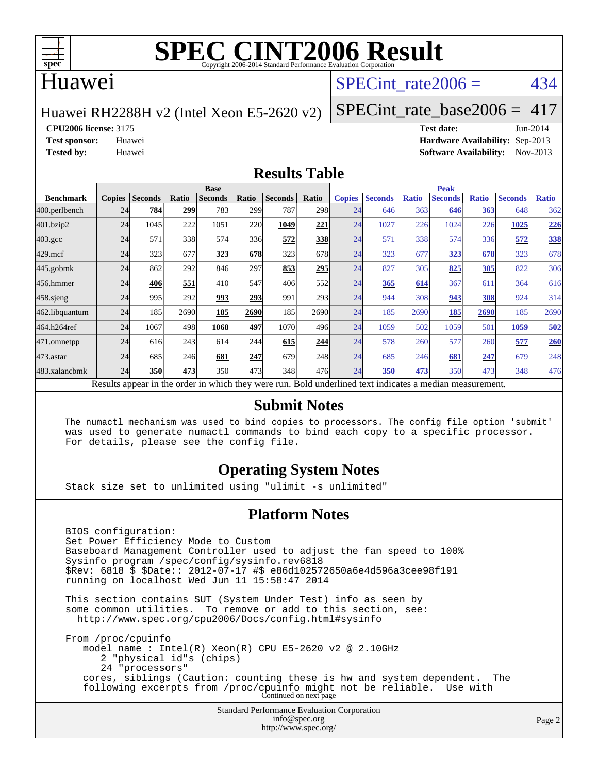

#### Huawei

### SPECint rate $2006 = 434$

Huawei RH2288H v2 (Intel Xeon E5-2620 v2)

[SPECint\\_rate\\_base2006 =](http://www.spec.org/auto/cpu2006/Docs/result-fields.html#SPECintratebase2006)  $417$ 

**[CPU2006 license:](http://www.spec.org/auto/cpu2006/Docs/result-fields.html#CPU2006license)** 3175 **[Test date:](http://www.spec.org/auto/cpu2006/Docs/result-fields.html#Testdate)** Jun-2014

**[Test sponsor:](http://www.spec.org/auto/cpu2006/Docs/result-fields.html#Testsponsor)** Huawei **[Hardware Availability:](http://www.spec.org/auto/cpu2006/Docs/result-fields.html#HardwareAvailability)** Sep-2013 **[Tested by:](http://www.spec.org/auto/cpu2006/Docs/result-fields.html#Testedby)** Huawei **[Software Availability:](http://www.spec.org/auto/cpu2006/Docs/result-fields.html#SoftwareAvailability)** Nov-2013

#### **[Results Table](http://www.spec.org/auto/cpu2006/Docs/result-fields.html#ResultsTable)**

|                                                                                                          | <b>Base</b>   |                |       |                |       |                |       | <b>Peak</b>   |                |              |                |              |                |              |
|----------------------------------------------------------------------------------------------------------|---------------|----------------|-------|----------------|-------|----------------|-------|---------------|----------------|--------------|----------------|--------------|----------------|--------------|
| <b>Benchmark</b>                                                                                         | <b>Copies</b> | <b>Seconds</b> | Ratio | <b>Seconds</b> | Ratio | <b>Seconds</b> | Ratio | <b>Copies</b> | <b>Seconds</b> | <b>Ratio</b> | <b>Seconds</b> | <b>Ratio</b> | <b>Seconds</b> | <b>Ratio</b> |
| 400.perlbench                                                                                            | 24            | 784            | 299   | 783            | 299   | 787            | 298   | 24            | 646            | 363          | 646            | 363          | 648            | 362          |
| 401.bzip2                                                                                                | 24            | 1045           | 222   | 1051           | 220   | 1049           | 221   | 24            | 1027           | 226          | 1024           | 226          | 1025           | 226          |
| $403.\text{gcc}$                                                                                         | 24            | 571            | 338   | 574            | 336   | 572            | 338   | 24            | 571            | 338          | 574            | 336          | 572            | 338          |
| $429$ .mcf                                                                                               | 24            | 323            | 677   | 323            | 678   | 323            | 678   | 24            | 323            | 677          | 323            | 678          | 323            | 678          |
| $445$ .gobmk                                                                                             | 24            | 862            | 292   | 846            | 297   | 853            | 295   | 24            | 827            | 305          | 825            | 305          | 822            | 306          |
| 456.hmmer                                                                                                | 24            | 406            | 551   | 410            | 547   | 406            | 552   | 24            | 365            | 614          | 367            | 611          | 364            | 616          |
| $458$ .sjeng                                                                                             | 24            | 995            | 292   | 993            | 293   | 991            | 293   | 24            | 944            | 308          | 943            | 308          | 924            | 314          |
| 462.libquantum                                                                                           | 24            | 185            | 2690  | 185            | 2690  | 185            | 2690  | 24            | 185            | 2690         | 185            | 2690         | 185            | 2690         |
| 464.h264ref                                                                                              | 24            | 1067           | 498   | 1068           | 497   | 1070           | 496   | 24            | 1059           | 502          | 1059           | 501          | 1059           | 502          |
| 471.omnetpp                                                                                              | 24            | 616            | 243   | 614            | 244   | 615            | 244   | 24            | 578            | 260          | 577            | 260          | 577            | 260          |
| 473.astar                                                                                                | 24            | 685            | 246   | 681            | 247   | 679            | 248   | 24            | 685            | 246          | 681            | 247          | 679            | 248          |
| 483.xalancbmk                                                                                            | 24            | 350            | 473   | 350            | 473   | 348            | 476   | 24            | 350            | 473          | 350            | 473          | 348            | 476          |
| Results appear in the order in which they were run. Bold underlined text indicates a median measurement. |               |                |       |                |       |                |       |               |                |              |                |              |                |              |

#### **[Submit Notes](http://www.spec.org/auto/cpu2006/Docs/result-fields.html#SubmitNotes)**

 The numactl mechanism was used to bind copies to processors. The config file option 'submit' was used to generate numactl commands to bind each copy to a specific processor. For details, please see the config file.

#### **[Operating System Notes](http://www.spec.org/auto/cpu2006/Docs/result-fields.html#OperatingSystemNotes)**

Stack size set to unlimited using "ulimit -s unlimited"

#### **[Platform Notes](http://www.spec.org/auto/cpu2006/Docs/result-fields.html#PlatformNotes)**

 BIOS configuration: Set Power Efficiency Mode to Custom Baseboard Management Controller used to adjust the fan speed to 100% Sysinfo program /spec/config/sysinfo.rev6818 \$Rev: 6818 \$ \$Date:: 2012-07-17 #\$ e86d102572650a6e4d596a3cee98f191 running on localhost Wed Jun 11 15:58:47 2014 This section contains SUT (System Under Test) info as seen by some common utilities. To remove or add to this section, see: <http://www.spec.org/cpu2006/Docs/config.html#sysinfo>

 From /proc/cpuinfo model name : Intel(R) Xeon(R) CPU E5-2620 v2 @ 2.10GHz 2 "physical id"s (chips) 24 "processors" cores, siblings (Caution: counting these is hw and system dependent. The following excerpts from /proc/cpuinfo might not be reliable. Use with Continued on next page

> Standard Performance Evaluation Corporation [info@spec.org](mailto:info@spec.org) <http://www.spec.org/>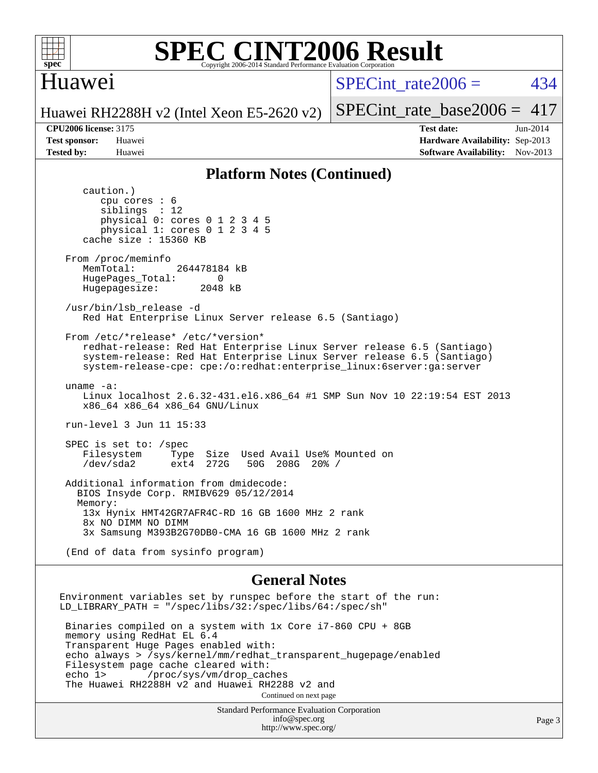

### Huawei

SPECint rate $2006 = 434$ 

Huawei RH2288H v2 (Intel Xeon E5-2620 v2) [SPECint\\_rate\\_base2006 =](http://www.spec.org/auto/cpu2006/Docs/result-fields.html#SPECintratebase2006)  $417$ 

**[CPU2006 license:](http://www.spec.org/auto/cpu2006/Docs/result-fields.html#CPU2006license)** 3175 **[Test date:](http://www.spec.org/auto/cpu2006/Docs/result-fields.html#Testdate)** Jun-2014 **[Test sponsor:](http://www.spec.org/auto/cpu2006/Docs/result-fields.html#Testsponsor)** Huawei **[Hardware Availability:](http://www.spec.org/auto/cpu2006/Docs/result-fields.html#HardwareAvailability)** Sep-2013 **[Tested by:](http://www.spec.org/auto/cpu2006/Docs/result-fields.html#Testedby)** Huawei **[Software Availability:](http://www.spec.org/auto/cpu2006/Docs/result-fields.html#SoftwareAvailability)** Nov-2013

#### **[Platform Notes \(Continued\)](http://www.spec.org/auto/cpu2006/Docs/result-fields.html#PlatformNotes)**

 caution.) cpu cores : 6 siblings : 12 physical 0: cores 0 1 2 3 4 5 physical 1: cores 0 1 2 3 4 5 cache size : 15360 KB From /proc/meminfo MemTotal: 264478184 kB HugePages\_Total: 0<br>Hugepagesize: 2048 kB Hugepagesize: /usr/bin/lsb\_release -d Red Hat Enterprise Linux Server release 6.5 (Santiago) From /etc/\*release\* /etc/\*version\* redhat-release: Red Hat Enterprise Linux Server release 6.5 (Santiago) system-release: Red Hat Enterprise Linux Server release 6.5 (Santiago) system-release-cpe: cpe:/o:redhat:enterprise\_linux:6server:ga:server uname -a: Linux localhost 2.6.32-431.el6.x86\_64 #1 SMP Sun Nov 10 22:19:54 EST 2013 x86\_64 x86\_64 x86\_64 GNU/Linux run-level 3 Jun 11 15:33 SPEC is set to: /spec<br>Filesystem Type Filesystem Type Size Used Avail Use% Mounted on<br>
/dev/sda2 ext4 272G 50G 208G 20% / /dev/sda2 ext4 272G 50G 208G 20% / Additional information from dmidecode: BIOS Insyde Corp. RMIBV629 05/12/2014 Memory: 13x Hynix HMT42GR7AFR4C-RD 16 GB 1600 MHz 2 rank 8x NO DIMM NO DIMM 3x Samsung M393B2G70DB0-CMA 16 GB 1600 MHz 2 rank (End of data from sysinfo program) **[General Notes](http://www.spec.org/auto/cpu2006/Docs/result-fields.html#GeneralNotes)** Environment variables set by runspec before the start of the run: LD\_LIBRARY\_PATH = "/spec/libs/32:/spec/libs/64:/spec/sh" Binaries compiled on a system with 1x Core i7-860 CPU + 8GB memory using RedHat EL 6.4 Transparent Huge Pages enabled with: echo always > /sys/kernel/mm/redhat\_transparent\_hugepage/enabled Filesystem page cache cleared with:<br>echo 1> /proc/sys/vm/drop cac

/proc/sys/vm/drop\_caches The Huawei RH2288H v2 and Huawei RH2288 v2 and Continued on next page

> Standard Performance Evaluation Corporation [info@spec.org](mailto:info@spec.org) <http://www.spec.org/>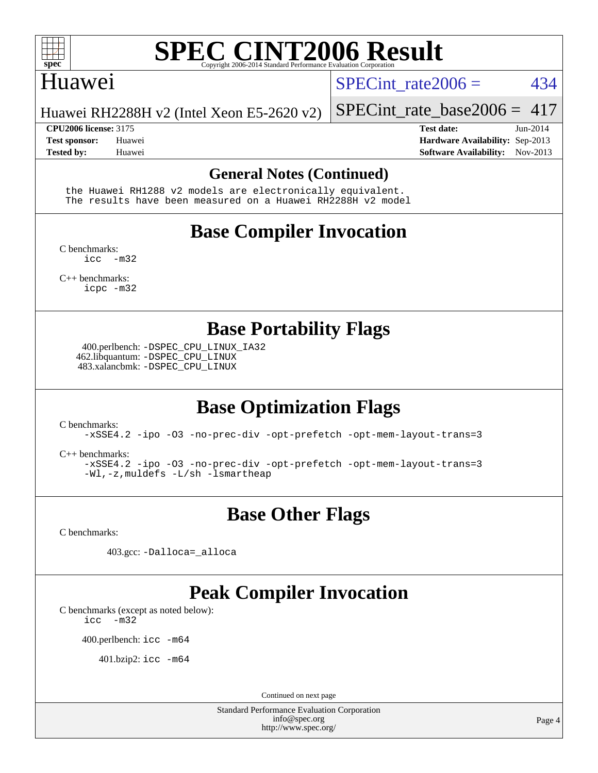

#### Huawei

SPECint rate $2006 = 434$ 

Huawei RH2288H v2 (Intel Xeon E5-2620 v2)

**[CPU2006 license:](http://www.spec.org/auto/cpu2006/Docs/result-fields.html#CPU2006license)** 3175 **[Test date:](http://www.spec.org/auto/cpu2006/Docs/result-fields.html#Testdate)** Jun-2014

[SPECint\\_rate\\_base2006 =](http://www.spec.org/auto/cpu2006/Docs/result-fields.html#SPECintratebase2006) 417

**[Test sponsor:](http://www.spec.org/auto/cpu2006/Docs/result-fields.html#Testsponsor)** Huawei **[Hardware Availability:](http://www.spec.org/auto/cpu2006/Docs/result-fields.html#HardwareAvailability)** Sep-2013 **[Tested by:](http://www.spec.org/auto/cpu2006/Docs/result-fields.html#Testedby)** Huawei **[Software Availability:](http://www.spec.org/auto/cpu2006/Docs/result-fields.html#SoftwareAvailability)** Nov-2013

#### **[General Notes \(Continued\)](http://www.spec.org/auto/cpu2006/Docs/result-fields.html#GeneralNotes)**

 the Huawei RH1288 v2 models are electronically equivalent. The results have been measured on a Huawei RH2288H v2 model

## **[Base Compiler Invocation](http://www.spec.org/auto/cpu2006/Docs/result-fields.html#BaseCompilerInvocation)**

[C benchmarks](http://www.spec.org/auto/cpu2006/Docs/result-fields.html#Cbenchmarks):  $inc -m32$ 

[C++ benchmarks:](http://www.spec.org/auto/cpu2006/Docs/result-fields.html#CXXbenchmarks) [icpc -m32](http://www.spec.org/cpu2006/results/res2014q3/cpu2006-20140628-30055.flags.html#user_CXXbase_intel_icpc_4e5a5ef1a53fd332b3c49e69c3330699)

#### **[Base Portability Flags](http://www.spec.org/auto/cpu2006/Docs/result-fields.html#BasePortabilityFlags)**

 400.perlbench: [-DSPEC\\_CPU\\_LINUX\\_IA32](http://www.spec.org/cpu2006/results/res2014q3/cpu2006-20140628-30055.flags.html#b400.perlbench_baseCPORTABILITY_DSPEC_CPU_LINUX_IA32) 462.libquantum: [-DSPEC\\_CPU\\_LINUX](http://www.spec.org/cpu2006/results/res2014q3/cpu2006-20140628-30055.flags.html#b462.libquantum_baseCPORTABILITY_DSPEC_CPU_LINUX) 483.xalancbmk: [-DSPEC\\_CPU\\_LINUX](http://www.spec.org/cpu2006/results/res2014q3/cpu2006-20140628-30055.flags.html#b483.xalancbmk_baseCXXPORTABILITY_DSPEC_CPU_LINUX)

## **[Base Optimization Flags](http://www.spec.org/auto/cpu2006/Docs/result-fields.html#BaseOptimizationFlags)**

[C benchmarks](http://www.spec.org/auto/cpu2006/Docs/result-fields.html#Cbenchmarks):

[-xSSE4.2](http://www.spec.org/cpu2006/results/res2014q3/cpu2006-20140628-30055.flags.html#user_CCbase_f-xSSE42_f91528193cf0b216347adb8b939d4107) [-ipo](http://www.spec.org/cpu2006/results/res2014q3/cpu2006-20140628-30055.flags.html#user_CCbase_f-ipo) [-O3](http://www.spec.org/cpu2006/results/res2014q3/cpu2006-20140628-30055.flags.html#user_CCbase_f-O3) [-no-prec-div](http://www.spec.org/cpu2006/results/res2014q3/cpu2006-20140628-30055.flags.html#user_CCbase_f-no-prec-div) [-opt-prefetch](http://www.spec.org/cpu2006/results/res2014q3/cpu2006-20140628-30055.flags.html#user_CCbase_f-opt-prefetch) [-opt-mem-layout-trans=3](http://www.spec.org/cpu2006/results/res2014q3/cpu2006-20140628-30055.flags.html#user_CCbase_f-opt-mem-layout-trans_a7b82ad4bd7abf52556d4961a2ae94d5)

[C++ benchmarks:](http://www.spec.org/auto/cpu2006/Docs/result-fields.html#CXXbenchmarks)

[-xSSE4.2](http://www.spec.org/cpu2006/results/res2014q3/cpu2006-20140628-30055.flags.html#user_CXXbase_f-xSSE42_f91528193cf0b216347adb8b939d4107) [-ipo](http://www.spec.org/cpu2006/results/res2014q3/cpu2006-20140628-30055.flags.html#user_CXXbase_f-ipo) [-O3](http://www.spec.org/cpu2006/results/res2014q3/cpu2006-20140628-30055.flags.html#user_CXXbase_f-O3) [-no-prec-div](http://www.spec.org/cpu2006/results/res2014q3/cpu2006-20140628-30055.flags.html#user_CXXbase_f-no-prec-div) [-opt-prefetch](http://www.spec.org/cpu2006/results/res2014q3/cpu2006-20140628-30055.flags.html#user_CXXbase_f-opt-prefetch) [-opt-mem-layout-trans=3](http://www.spec.org/cpu2006/results/res2014q3/cpu2006-20140628-30055.flags.html#user_CXXbase_f-opt-mem-layout-trans_a7b82ad4bd7abf52556d4961a2ae94d5) [-Wl,-z,muldefs](http://www.spec.org/cpu2006/results/res2014q3/cpu2006-20140628-30055.flags.html#user_CXXbase_link_force_multiple1_74079c344b956b9658436fd1b6dd3a8a) [-L/sh -lsmartheap](http://www.spec.org/cpu2006/results/res2014q3/cpu2006-20140628-30055.flags.html#user_CXXbase_SmartHeap_32f6c82aa1ed9c52345d30cf6e4a0499)

#### **[Base Other Flags](http://www.spec.org/auto/cpu2006/Docs/result-fields.html#BaseOtherFlags)**

[C benchmarks](http://www.spec.org/auto/cpu2006/Docs/result-fields.html#Cbenchmarks):

403.gcc: [-Dalloca=\\_alloca](http://www.spec.org/cpu2006/results/res2014q3/cpu2006-20140628-30055.flags.html#b403.gcc_baseEXTRA_CFLAGS_Dalloca_be3056838c12de2578596ca5467af7f3)

## **[Peak Compiler Invocation](http://www.spec.org/auto/cpu2006/Docs/result-fields.html#PeakCompilerInvocation)**

[C benchmarks \(except as noted below\)](http://www.spec.org/auto/cpu2006/Docs/result-fields.html#Cbenchmarksexceptasnotedbelow):

[icc -m32](http://www.spec.org/cpu2006/results/res2014q3/cpu2006-20140628-30055.flags.html#user_CCpeak_intel_icc_5ff4a39e364c98233615fdd38438c6f2)

400.perlbench: [icc -m64](http://www.spec.org/cpu2006/results/res2014q3/cpu2006-20140628-30055.flags.html#user_peakCCLD400_perlbench_intel_icc_64bit_bda6cc9af1fdbb0edc3795bac97ada53)

401.bzip2: [icc -m64](http://www.spec.org/cpu2006/results/res2014q3/cpu2006-20140628-30055.flags.html#user_peakCCLD401_bzip2_intel_icc_64bit_bda6cc9af1fdbb0edc3795bac97ada53)

Continued on next page

Standard Performance Evaluation Corporation [info@spec.org](mailto:info@spec.org) <http://www.spec.org/>

Page 4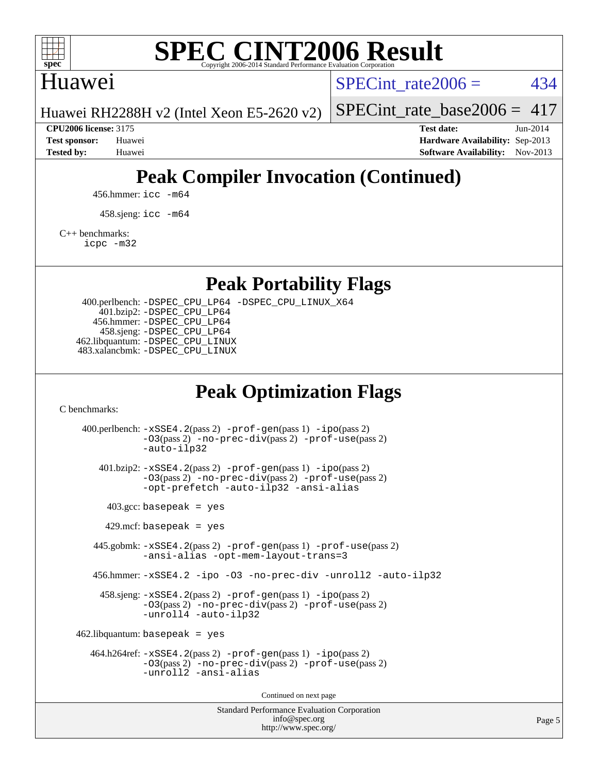

### Huawei

SPECint rate $2006 = 434$ 

Huawei RH2288H v2 (Intel Xeon E5-2620 v2)

[SPECint\\_rate\\_base2006 =](http://www.spec.org/auto/cpu2006/Docs/result-fields.html#SPECintratebase2006)  $417$ 

**[CPU2006 license:](http://www.spec.org/auto/cpu2006/Docs/result-fields.html#CPU2006license)** 3175 **[Test date:](http://www.spec.org/auto/cpu2006/Docs/result-fields.html#Testdate)** Jun-2014 **[Test sponsor:](http://www.spec.org/auto/cpu2006/Docs/result-fields.html#Testsponsor)** Huawei **[Hardware Availability:](http://www.spec.org/auto/cpu2006/Docs/result-fields.html#HardwareAvailability)** Sep-2013 **[Tested by:](http://www.spec.org/auto/cpu2006/Docs/result-fields.html#Testedby)** Huawei **[Software Availability:](http://www.spec.org/auto/cpu2006/Docs/result-fields.html#SoftwareAvailability)** Nov-2013

## **[Peak Compiler Invocation \(Continued\)](http://www.spec.org/auto/cpu2006/Docs/result-fields.html#PeakCompilerInvocation)**

456.hmmer: [icc -m64](http://www.spec.org/cpu2006/results/res2014q3/cpu2006-20140628-30055.flags.html#user_peakCCLD456_hmmer_intel_icc_64bit_bda6cc9af1fdbb0edc3795bac97ada53)

458.sjeng: [icc -m64](http://www.spec.org/cpu2006/results/res2014q3/cpu2006-20140628-30055.flags.html#user_peakCCLD458_sjeng_intel_icc_64bit_bda6cc9af1fdbb0edc3795bac97ada53)

[C++ benchmarks:](http://www.spec.org/auto/cpu2006/Docs/result-fields.html#CXXbenchmarks)

[icpc -m32](http://www.spec.org/cpu2006/results/res2014q3/cpu2006-20140628-30055.flags.html#user_CXXpeak_intel_icpc_4e5a5ef1a53fd332b3c49e69c3330699)

**[Peak Portability Flags](http://www.spec.org/auto/cpu2006/Docs/result-fields.html#PeakPortabilityFlags)**

 400.perlbench: [-DSPEC\\_CPU\\_LP64](http://www.spec.org/cpu2006/results/res2014q3/cpu2006-20140628-30055.flags.html#b400.perlbench_peakCPORTABILITY_DSPEC_CPU_LP64) [-DSPEC\\_CPU\\_LINUX\\_X64](http://www.spec.org/cpu2006/results/res2014q3/cpu2006-20140628-30055.flags.html#b400.perlbench_peakCPORTABILITY_DSPEC_CPU_LINUX_X64) 401.bzip2: [-DSPEC\\_CPU\\_LP64](http://www.spec.org/cpu2006/results/res2014q3/cpu2006-20140628-30055.flags.html#suite_peakCPORTABILITY401_bzip2_DSPEC_CPU_LP64) 456.hmmer: [-DSPEC\\_CPU\\_LP64](http://www.spec.org/cpu2006/results/res2014q3/cpu2006-20140628-30055.flags.html#suite_peakCPORTABILITY456_hmmer_DSPEC_CPU_LP64) 458.sjeng: [-DSPEC\\_CPU\\_LP64](http://www.spec.org/cpu2006/results/res2014q3/cpu2006-20140628-30055.flags.html#suite_peakCPORTABILITY458_sjeng_DSPEC_CPU_LP64) 462.libquantum: [-DSPEC\\_CPU\\_LINUX](http://www.spec.org/cpu2006/results/res2014q3/cpu2006-20140628-30055.flags.html#b462.libquantum_peakCPORTABILITY_DSPEC_CPU_LINUX) 483.xalancbmk: [-DSPEC\\_CPU\\_LINUX](http://www.spec.org/cpu2006/results/res2014q3/cpu2006-20140628-30055.flags.html#b483.xalancbmk_peakCXXPORTABILITY_DSPEC_CPU_LINUX)

## **[Peak Optimization Flags](http://www.spec.org/auto/cpu2006/Docs/result-fields.html#PeakOptimizationFlags)**

[C benchmarks](http://www.spec.org/auto/cpu2006/Docs/result-fields.html#Cbenchmarks):

Standard Performance Evaluation Corporation [info@spec.org](mailto:info@spec.org) 400.perlbench: [-xSSE4.2](http://www.spec.org/cpu2006/results/res2014q3/cpu2006-20140628-30055.flags.html#user_peakPASS2_CFLAGSPASS2_LDCFLAGS400_perlbench_f-xSSE42_f91528193cf0b216347adb8b939d4107)(pass 2) [-prof-gen](http://www.spec.org/cpu2006/results/res2014q3/cpu2006-20140628-30055.flags.html#user_peakPASS1_CFLAGSPASS1_LDCFLAGS400_perlbench_prof_gen_e43856698f6ca7b7e442dfd80e94a8fc)(pass 1) [-ipo](http://www.spec.org/cpu2006/results/res2014q3/cpu2006-20140628-30055.flags.html#user_peakPASS2_CFLAGSPASS2_LDCFLAGS400_perlbench_f-ipo)(pass 2) [-O3](http://www.spec.org/cpu2006/results/res2014q3/cpu2006-20140628-30055.flags.html#user_peakPASS2_CFLAGSPASS2_LDCFLAGS400_perlbench_f-O3)(pass 2) [-no-prec-div](http://www.spec.org/cpu2006/results/res2014q3/cpu2006-20140628-30055.flags.html#user_peakPASS2_CFLAGSPASS2_LDCFLAGS400_perlbench_f-no-prec-div)(pass 2) [-prof-use](http://www.spec.org/cpu2006/results/res2014q3/cpu2006-20140628-30055.flags.html#user_peakPASS2_CFLAGSPASS2_LDCFLAGS400_perlbench_prof_use_bccf7792157ff70d64e32fe3e1250b55)(pass 2) [-auto-ilp32](http://www.spec.org/cpu2006/results/res2014q3/cpu2006-20140628-30055.flags.html#user_peakCOPTIMIZE400_perlbench_f-auto-ilp32) 401.bzip2: [-xSSE4.2](http://www.spec.org/cpu2006/results/res2014q3/cpu2006-20140628-30055.flags.html#user_peakPASS2_CFLAGSPASS2_LDCFLAGS401_bzip2_f-xSSE42_f91528193cf0b216347adb8b939d4107)(pass 2) [-prof-gen](http://www.spec.org/cpu2006/results/res2014q3/cpu2006-20140628-30055.flags.html#user_peakPASS1_CFLAGSPASS1_LDCFLAGS401_bzip2_prof_gen_e43856698f6ca7b7e442dfd80e94a8fc)(pass 1) [-ipo](http://www.spec.org/cpu2006/results/res2014q3/cpu2006-20140628-30055.flags.html#user_peakPASS2_CFLAGSPASS2_LDCFLAGS401_bzip2_f-ipo)(pass 2) [-O3](http://www.spec.org/cpu2006/results/res2014q3/cpu2006-20140628-30055.flags.html#user_peakPASS2_CFLAGSPASS2_LDCFLAGS401_bzip2_f-O3)(pass 2) [-no-prec-div](http://www.spec.org/cpu2006/results/res2014q3/cpu2006-20140628-30055.flags.html#user_peakPASS2_CFLAGSPASS2_LDCFLAGS401_bzip2_f-no-prec-div)(pass 2) [-prof-use](http://www.spec.org/cpu2006/results/res2014q3/cpu2006-20140628-30055.flags.html#user_peakPASS2_CFLAGSPASS2_LDCFLAGS401_bzip2_prof_use_bccf7792157ff70d64e32fe3e1250b55)(pass 2) [-opt-prefetch](http://www.spec.org/cpu2006/results/res2014q3/cpu2006-20140628-30055.flags.html#user_peakCOPTIMIZE401_bzip2_f-opt-prefetch) [-auto-ilp32](http://www.spec.org/cpu2006/results/res2014q3/cpu2006-20140628-30055.flags.html#user_peakCOPTIMIZE401_bzip2_f-auto-ilp32) [-ansi-alias](http://www.spec.org/cpu2006/results/res2014q3/cpu2006-20140628-30055.flags.html#user_peakCOPTIMIZE401_bzip2_f-ansi-alias)  $403.\text{gcc: basepeak}$  = yes  $429$ .mcf: basepeak = yes 445.gobmk: [-xSSE4.2](http://www.spec.org/cpu2006/results/res2014q3/cpu2006-20140628-30055.flags.html#user_peakPASS2_CFLAGSPASS2_LDCFLAGS445_gobmk_f-xSSE42_f91528193cf0b216347adb8b939d4107)(pass 2) [-prof-gen](http://www.spec.org/cpu2006/results/res2014q3/cpu2006-20140628-30055.flags.html#user_peakPASS1_CFLAGSPASS1_LDCFLAGS445_gobmk_prof_gen_e43856698f6ca7b7e442dfd80e94a8fc)(pass 1) [-prof-use](http://www.spec.org/cpu2006/results/res2014q3/cpu2006-20140628-30055.flags.html#user_peakPASS2_CFLAGSPASS2_LDCFLAGS445_gobmk_prof_use_bccf7792157ff70d64e32fe3e1250b55)(pass 2) [-ansi-alias](http://www.spec.org/cpu2006/results/res2014q3/cpu2006-20140628-30055.flags.html#user_peakCOPTIMIZE445_gobmk_f-ansi-alias) [-opt-mem-layout-trans=3](http://www.spec.org/cpu2006/results/res2014q3/cpu2006-20140628-30055.flags.html#user_peakCOPTIMIZE445_gobmk_f-opt-mem-layout-trans_a7b82ad4bd7abf52556d4961a2ae94d5) 456.hmmer: [-xSSE4.2](http://www.spec.org/cpu2006/results/res2014q3/cpu2006-20140628-30055.flags.html#user_peakCOPTIMIZE456_hmmer_f-xSSE42_f91528193cf0b216347adb8b939d4107) [-ipo](http://www.spec.org/cpu2006/results/res2014q3/cpu2006-20140628-30055.flags.html#user_peakCOPTIMIZE456_hmmer_f-ipo) [-O3](http://www.spec.org/cpu2006/results/res2014q3/cpu2006-20140628-30055.flags.html#user_peakCOPTIMIZE456_hmmer_f-O3) [-no-prec-div](http://www.spec.org/cpu2006/results/res2014q3/cpu2006-20140628-30055.flags.html#user_peakCOPTIMIZE456_hmmer_f-no-prec-div) [-unroll2](http://www.spec.org/cpu2006/results/res2014q3/cpu2006-20140628-30055.flags.html#user_peakCOPTIMIZE456_hmmer_f-unroll_784dae83bebfb236979b41d2422d7ec2) [-auto-ilp32](http://www.spec.org/cpu2006/results/res2014q3/cpu2006-20140628-30055.flags.html#user_peakCOPTIMIZE456_hmmer_f-auto-ilp32) 458.sjeng: [-xSSE4.2](http://www.spec.org/cpu2006/results/res2014q3/cpu2006-20140628-30055.flags.html#user_peakPASS2_CFLAGSPASS2_LDCFLAGS458_sjeng_f-xSSE42_f91528193cf0b216347adb8b939d4107)(pass 2) [-prof-gen](http://www.spec.org/cpu2006/results/res2014q3/cpu2006-20140628-30055.flags.html#user_peakPASS1_CFLAGSPASS1_LDCFLAGS458_sjeng_prof_gen_e43856698f6ca7b7e442dfd80e94a8fc)(pass 1) [-ipo](http://www.spec.org/cpu2006/results/res2014q3/cpu2006-20140628-30055.flags.html#user_peakPASS2_CFLAGSPASS2_LDCFLAGS458_sjeng_f-ipo)(pass 2) [-O3](http://www.spec.org/cpu2006/results/res2014q3/cpu2006-20140628-30055.flags.html#user_peakPASS2_CFLAGSPASS2_LDCFLAGS458_sjeng_f-O3)(pass 2) [-no-prec-div](http://www.spec.org/cpu2006/results/res2014q3/cpu2006-20140628-30055.flags.html#user_peakPASS2_CFLAGSPASS2_LDCFLAGS458_sjeng_f-no-prec-div)(pass 2) [-prof-use](http://www.spec.org/cpu2006/results/res2014q3/cpu2006-20140628-30055.flags.html#user_peakPASS2_CFLAGSPASS2_LDCFLAGS458_sjeng_prof_use_bccf7792157ff70d64e32fe3e1250b55)(pass 2) [-unroll4](http://www.spec.org/cpu2006/results/res2014q3/cpu2006-20140628-30055.flags.html#user_peakCOPTIMIZE458_sjeng_f-unroll_4e5e4ed65b7fd20bdcd365bec371b81f) [-auto-ilp32](http://www.spec.org/cpu2006/results/res2014q3/cpu2006-20140628-30055.flags.html#user_peakCOPTIMIZE458_sjeng_f-auto-ilp32)  $462$ .libquantum: basepeak = yes 464.h264ref: [-xSSE4.2](http://www.spec.org/cpu2006/results/res2014q3/cpu2006-20140628-30055.flags.html#user_peakPASS2_CFLAGSPASS2_LDCFLAGS464_h264ref_f-xSSE42_f91528193cf0b216347adb8b939d4107)(pass 2) [-prof-gen](http://www.spec.org/cpu2006/results/res2014q3/cpu2006-20140628-30055.flags.html#user_peakPASS1_CFLAGSPASS1_LDCFLAGS464_h264ref_prof_gen_e43856698f6ca7b7e442dfd80e94a8fc)(pass 1) [-ipo](http://www.spec.org/cpu2006/results/res2014q3/cpu2006-20140628-30055.flags.html#user_peakPASS2_CFLAGSPASS2_LDCFLAGS464_h264ref_f-ipo)(pass 2) [-O3](http://www.spec.org/cpu2006/results/res2014q3/cpu2006-20140628-30055.flags.html#user_peakPASS2_CFLAGSPASS2_LDCFLAGS464_h264ref_f-O3)(pass 2) [-no-prec-div](http://www.spec.org/cpu2006/results/res2014q3/cpu2006-20140628-30055.flags.html#user_peakPASS2_CFLAGSPASS2_LDCFLAGS464_h264ref_f-no-prec-div)(pass 2) [-prof-use](http://www.spec.org/cpu2006/results/res2014q3/cpu2006-20140628-30055.flags.html#user_peakPASS2_CFLAGSPASS2_LDCFLAGS464_h264ref_prof_use_bccf7792157ff70d64e32fe3e1250b55)(pass 2) [-unroll2](http://www.spec.org/cpu2006/results/res2014q3/cpu2006-20140628-30055.flags.html#user_peakCOPTIMIZE464_h264ref_f-unroll_784dae83bebfb236979b41d2422d7ec2) [-ansi-alias](http://www.spec.org/cpu2006/results/res2014q3/cpu2006-20140628-30055.flags.html#user_peakCOPTIMIZE464_h264ref_f-ansi-alias) Continued on next page

<http://www.spec.org/>

Page 5